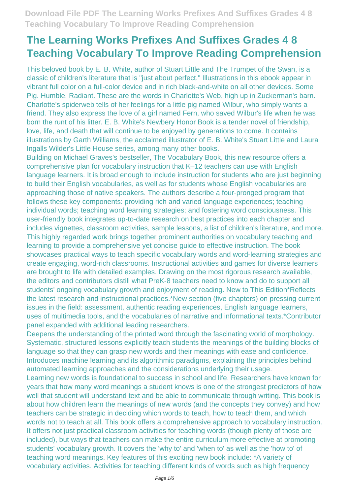This beloved book by E. B. White, author of Stuart Little and The Trumpet of the Swan, is a classic of children's literature that is "just about perfect." Illustrations in this ebook appear in vibrant full color on a full-color device and in rich black-and-white on all other devices. Some Pig. Humble. Radiant. These are the words in Charlotte's Web, high up in Zuckerman's barn. Charlotte's spiderweb tells of her feelings for a little pig named Wilbur, who simply wants a friend. They also express the love of a girl named Fern, who saved Wilbur's life when he was born the runt of his litter. E. B. White's Newbery Honor Book is a tender novel of friendship, love, life, and death that will continue to be enjoyed by generations to come. It contains illustrations by Garth Williams, the acclaimed illustrator of E. B. White's Stuart Little and Laura Ingalls Wilder's Little House series, among many other books.

Building on Michael Graves's bestseller, The Vocabulary Book, this new resource offers a comprehensive plan for vocabulary instruction that K–12 teachers can use with English language learners. It is broad enough to include instruction for students who are just beginning to build their English vocabularies, as well as for students whose English vocabularies are approaching those of native speakers. The authors describe a four-pronged program that follows these key components: providing rich and varied language experiences; teaching individual words; teaching word learning strategies; and fostering word consciousness. This user-friendly book integrates up-to-date research on best practices into each chapter and includes vignettes, classroom activities, sample lessons, a list of children's literature, and more. This highly regarded work brings together prominent authorities on vocabulary teaching and learning to provide a comprehensive yet concise guide to effective instruction. The book showcases practical ways to teach specific vocabulary words and word-learning strategies and create engaging, word-rich classrooms. Instructional activities and games for diverse learners are brought to life with detailed examples. Drawing on the most rigorous research available, the editors and contributors distill what PreK-8 teachers need to know and do to support all students' ongoing vocabulary growth and enjoyment of reading. New to This Edition\*Reflects the latest research and instructional practices.\*New section (five chapters) on pressing current issues in the field: assessment, authentic reading experiences, English language learners, uses of multimedia tools, and the vocabularies of narrative and informational texts.\*Contributor panel expanded with additional leading researchers.

Deepens the understanding of the printed word through the fascinating world of morphology. Systematic, structured lessons explicitly teach students the meanings of the building blocks of language so that they can grasp new words and their meanings with ease and confidence. Introduces machine learning and its algorithmic paradigms, explaining the principles behind automated learning approaches and the considerations underlying their usage.

Learning new words is foundational to success in school and life. Researchers have known for years that how many word meanings a student knows is one of the strongest predictors of how well that student will understand text and be able to communicate through writing. This book is about how children learn the meanings of new words (and the concepts they convey) and how teachers can be strategic in deciding which words to teach, how to teach them, and which words not to teach at all. This book offers a comprehensive approach to vocabulary instruction. It offers not just practical classroom activities for teaching words (though plenty of those are included), but ways that teachers can make the entire curriculum more effective at promoting students' vocabulary growth. It covers the 'why to' and 'when to' as well as the 'how to' of teaching word meanings. Key features of this exciting new book include: \*A variety of vocabulary activities. Activities for teaching different kinds of words such as high frequency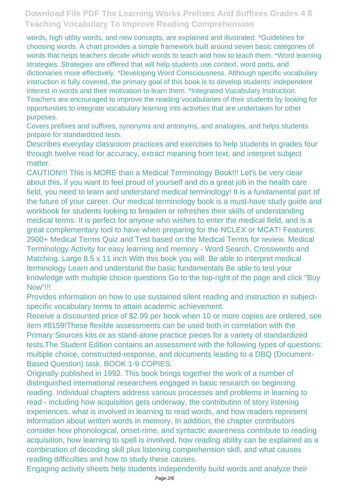words, high utility words, and new concepts, are explained and illustrated. \*Guidelines for choosing words. A chart provides a simple framework built around seven basic categories of words that helps teachers decide which words to teach and how to teach them. \*Word learning strategies. Strategies are offered that will help students use context, word parts, and dictionaries more effectively. \*Developing Word Consciousness. Although specific vocabulary instruction is fully covered, the primary goal of this book is to develop students' independent interest in words and their motivation to learn them. \*Integrated Vocabulary Instruction. Teachers are encouraged to improve the reading vocabularies of their students by looking for opportunities to integrate vocabulary learning into activities that are undertaken for other purposes.

Covers prefixes and suffixes, synonyms and antonyms, and analogies, and helps students prepare for standardized tests.

Describes everyday classroom practices and exercises to help students in grades four through twelve read for accuracy, extract meaning from text, and interpret subject matter.

CAUTION!!! This is MORE than a Medical Terminology Book!!! Let's be very clear about this, if you want to feel proud of yourself and do a great job in the health care field, you need to learn and understand medical terminology! It is a fundamental part of the future of your career. Our medical terminology book is a must-have study guide and workbook for students looking to broaden or refreshes their skills of understanding medical terms. It is perfect for anyone who wishes to enter the medical field, and is a great complementary tool to have when preparing for the NCLEX or MCAT! Features: 2900+ Medical Terms Quiz and Test based on the Medical Terms for review. Medical Terminology Activity for easy learning and memory - Word Search, Crosswords and Matching. Large 8.5 x 11 inch With this book you will: Be able to interpret medical terminology Learn and understand the basic fundamentals Be able to test your knowledge with multiple choice questions Go to the top-right of the page and click "Buy Now"!!!

Provides information on how to use sustained silent reading and instruction in subjectspecific vocabulary terms to attain academic achievement.

Receive a discounted price of \$2.99 per book when 10 or more copies are ordered, see item #8159!These flexible assessments can be used both in correlation with the Primary Sources kits or as stand-alone practice pieces for a variety of standardized tests.The Student Edition contains an assessment with the following types of questions: multiple choice, constructed-response, and documents leading to a DBQ (Document-Based Question) task. BOOK 1-9 COPIES.

Originally published in 1992. This book brings together the work of a number of distinguished international researchers engaged in basic research on beginning reading. Individual chapters address various processes and problems in learning to read - including how acquisition gets underway, the contribution of story listening experiences, what is involved in learning to read words, and how readers represent information about written words in memory. In addition, the chapter contributors consider how phonological, onset-rime, and syntactic awareness contribute to reading acquisition, how learning to spell is involved, how reading ability can be explained as a combination of decoding skill plus listening comprehension skill, and what causes reading difficulties and how to study these causes.

Engaging activity sheets help students independently build words and analyze their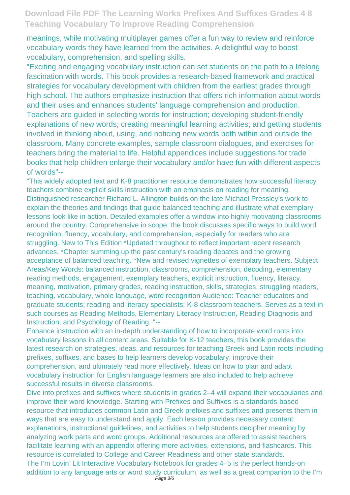meanings, while motivating multiplayer games offer a fun way to review and reinforce vocabulary words they have learned from the activities. A delightful way to boost vocabulary, comprehension, and spelling skills.

"Exciting and engaging vocabulary instruction can set students on the path to a lifelong fascination with words. This book provides a research-based framework and practical strategies for vocabulary development with children from the earliest grades through high school. The authors emphasize instruction that offers rich information about words and their uses and enhances students' language comprehension and production. Teachers are guided in selecting words for instruction; developing student-friendly explanations of new words; creating meaningful learning activities; and getting students involved in thinking about, using, and noticing new words both within and outside the classroom. Many concrete examples, sample classroom dialogues, and exercises for teachers bring the material to life. Helpful appendices include suggestions for trade books that help children enlarge their vocabulary and/or have fun with different aspects of words"--

"This widely adopted text and K-8 practitioner resource demonstrates how successful literacy teachers combine explicit skills instruction with an emphasis on reading for meaning. Distinguished researcher Richard L. Allington builds on the late Michael Pressley's work to explain the theories and findings that guide balanced teaching and illustrate what exemplary lessons look like in action. Detailed examples offer a window into highly motivating classrooms around the country. Comprehensive in scope, the book discusses specific ways to build word recognition, fluency, vocabulary, and comprehension, especially for readers who are struggling. New to This Edition \*Updated throughout to reflect important recent research advances. \*Chapter summing up the past century's reading debates and the growing acceptance of balanced teaching. \*New and revised vignettes of exemplary teachers. Subject Areas/Key Words: balanced instruction, classrooms, comprehension, decoding, elementary reading methods, engagement, exemplary teachers, explicit instruction, fluency, literacy, meaning, motivation, primary grades, reading instruction, skills, strategies, struggling readers, teaching, vocabulary, whole language, word recognition Audience: Teacher educators and graduate students; reading and literacy specialists; K-8 classroom teachers. Serves as a text in such courses as Reading Methods, Elementary Literacy Instruction, Reading Diagnosis and Instruction, and Psychology of Reading. "--

Enhance instruction with an in-depth understanding of how to incorporate word roots into vocabulary lessons in all content areas. Suitable for K-12 teachers, this book provides the latest research on strategies, ideas, and resources for teaching Greek and Latin roots including prefixes, suffixes, and bases to help learners develop vocabulary, improve their comprehension, and ultimately read more effectively. Ideas on how to plan and adapt vocabulary instruction for English language learners are also included to help achieve successful results in diverse classrooms.

Dive into prefixes and suffixes where students in grades 2–4 will expand their vocabularies and improve their word knowledge. Starting with Prefixes and Suffixes is a standards-based resource that introduces common Latin and Greek prefixes and suffixes and presents them in ways that are easy to understand and apply. Each lesson provides necessary content explanations, instructional guidelines, and activities to help students decipher meaning by analyzing work parts and word groups. Additional resources are offered to assist teachers facilitate learning with an appendix offering more activities, extensions, and flashcards. This resource is correlated to College and Career Readiness and other state standards. The I'm Lovin' Lit Interactive Vocabulary Notebook for grades 4–5 is the perfect hands-on addition to any language arts or word study curriculum, as well as a great companion to the I'm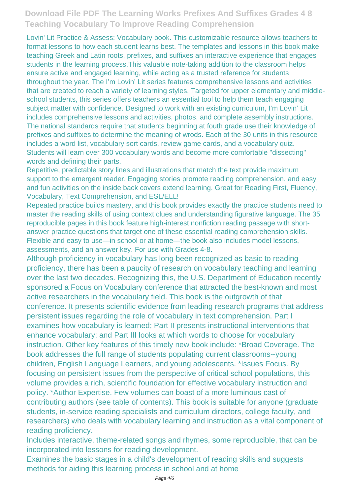Lovin' Lit Practice & Assess: Vocabulary book. This customizable resource allows teachers to format lessons to how each student learns best. The templates and lessons in this book make teaching Greek and Latin roots, prefixes, and suffixes an interactive experience that engages students in the learning process.This valuable note-taking addition to the classroom helps ensure active and engaged learning, while acting as a trusted reference for students throughout the year. The I'm Lovin' Lit series features comprehensive lessons and activities that are created to reach a variety of learning styles. Targeted for upper elementary and middleschool students, this series offers teachers an essential tool to help them teach engaging subject matter with confidence. Designed to work with an existing curriculum, I'm Lovin' Lit includes comprehensive lessons and activities, photos, and complete assembly instructions. The national standards require that students beginning at fouth grade use their knowledge of prefixes and suffixes to determine the meaning of wrods. Each of the 30 units in this resource includes a word list, vocabulary sort cards, review game cards, and a vocabulary quiz. Students will learn over 300 vocabulary words and become more comfortable "dissecting" words and defining their parts.

Repetitive, predictable story lines and illustrations that match the text provide maximum support to the emergent reader. Engaging stories promote reading comprehension, and easy and fun activities on the inside back covers extend learning. Great for Reading First, Fluency, Vocabulary, Text Comprehension, and ESL/ELL!

Repeated practice builds mastery, and this book provides exactly the practice students need to master the reading skills of using context clues and understanding figurative language. The 35 reproducible pages in this book feature high-interest nonfiction reading passage with shortanswer practice questions that target one of these essential reading comprehension skills. Flexible and easy to use—in school or at home—the book also includes model lessons, assessments, and an answer key. For use with Grades 4-8.

Although proficiency in vocabulary has long been recognized as basic to reading proficiency, there has been a paucity of research on vocabulary teaching and learning over the last two decades. Recognizing this, the U.S. Department of Education recently sponsored a Focus on Vocabulary conference that attracted the best-known and most active researchers in the vocabulary field. This book is the outgrowth of that conference. It presents scientific evidence from leading research programs that address persistent issues regarding the role of vocabulary in text comprehension. Part I examines how vocabulary is learned; Part II presents instructional interventions that enhance vocabulary; and Part III looks at which words to choose for vocabulary instruction. Other key features of this timely new book include: \*Broad Coverage. The book addresses the full range of students populating current classrooms--young children, English Language Learners, and young adolescents. \*Issues Focus. By focusing on persistent issues from the perspective of critical school populations, this volume provides a rich, scientific foundation for effective vocabulary instruction and policy. \*Author Expertise. Few volumes can boast of a more luminous cast of contributing authors (see table of contents). This book is suitable for anyone (graduate students, in-service reading specialists and curriculum directors, college faculty, and researchers) who deals with vocabulary learning and instruction as a vital component of reading proficiency.

Includes interactive, theme-related songs and rhymes, some reproducible, that can be incorporated into lessons for reading development.

Examines the basic stages in a child's development of reading skills and suggests methods for aiding this learning process in school and at home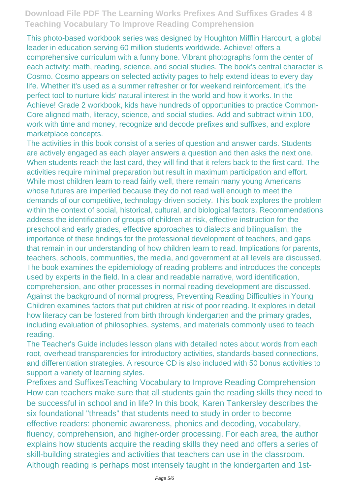This photo-based workbook series was designed by Houghton Mifflin Harcourt, a global leader in education serving 60 million students worldwide. Achieve! offers a comprehensive curriculum with a funny bone. Vibrant photographs form the center of each activity: math, reading, science, and social studies. The book's central character is Cosmo. Cosmo appears on selected activity pages to help extend ideas to every day life. Whether it's used as a summer refresher or for weekend reinforcement, it's the perfect tool to nurture kids' natural interest in the world and how it works. In the Achieve! Grade 2 workbook, kids have hundreds of opportunities to practice Common-Core aligned math, literacy, science, and social studies. Add and subtract within 100, work with time and money, recognize and decode prefixes and suffixes, and explore marketplace concepts.

The activities in this book consist of a series of question and answer cards. Students are actively engaged as each player answers a question and then asks the next one. When students reach the last card, they will find that it refers back to the first card. The activities require minimal preparation but result in maximum participation and effort. While most children learn to read fairly well, there remain many young Americans whose futures are imperiled because they do not read well enough to meet the demands of our competitive, technology-driven society. This book explores the problem within the context of social, historical, cultural, and biological factors. Recommendations address the identification of groups of children at risk, effective instruction for the preschool and early grades, effective approaches to dialects and bilingualism, the importance of these findings for the professional development of teachers, and gaps that remain in our understanding of how children learn to read. Implications for parents, teachers, schools, communities, the media, and government at all levels are discussed. The book examines the epidemiology of reading problems and introduces the concepts used by experts in the field. In a clear and readable narrative, word identification, comprehension, and other processes in normal reading development are discussed. Against the background of normal progress, Preventing Reading Difficulties in Young Children examines factors that put children at risk of poor reading. It explores in detail how literacy can be fostered from birth through kindergarten and the primary grades, including evaluation of philosophies, systems, and materials commonly used to teach reading.

The Teacher's Guide includes lesson plans with detailed notes about words from each root, overhead transparencies for introductory activities, standards-based connections, and differentiation strategies. A resource CD is also included with 50 bonus activities to support a variety of learning styles.

Prefixes and SuffixesTeaching Vocabulary to Improve Reading Comprehension How can teachers make sure that all students gain the reading skills they need to be successful in school and in life? In this book, Karen Tankersley describes the six foundational "threads" that students need to study in order to become effective readers: phonemic awareness, phonics and decoding, vocabulary, fluency, comprehension, and higher-order processing. For each area, the author explains how students acquire the reading skills they need and offers a series of skill-building strategies and activities that teachers can use in the classroom. Although reading is perhaps most intensely taught in the kindergarten and 1st-